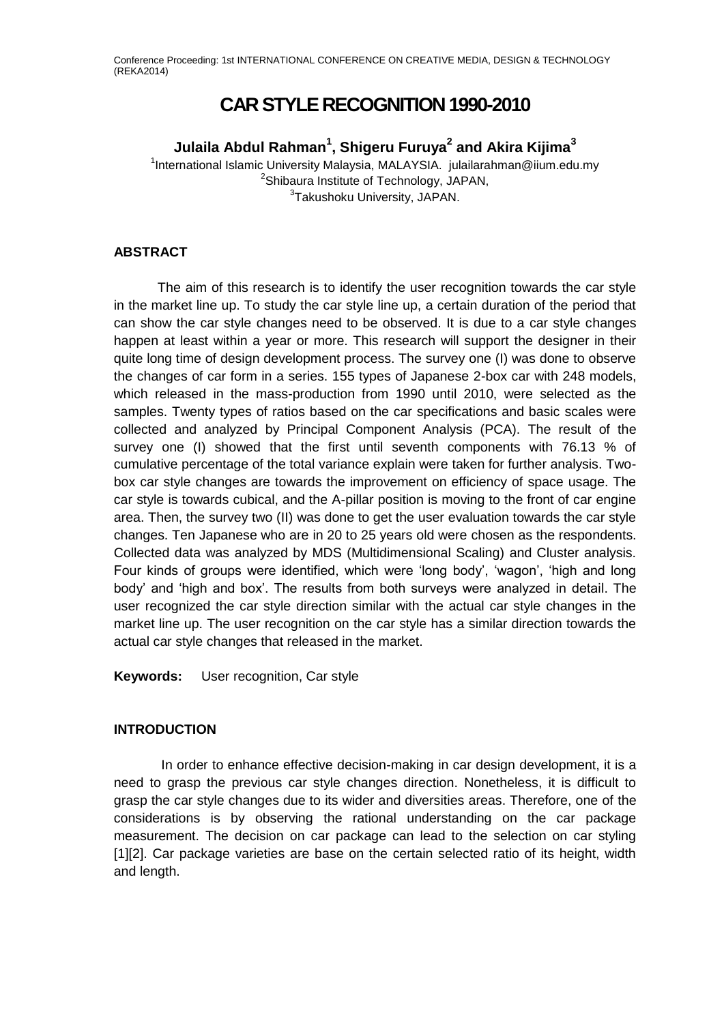# **CAR STYLE RECOGNITION 1990-2010**

## **Julaila Abdul Rahman<sup>1</sup> , Shigeru Furuya<sup>2</sup> and Akira Kijima<sup>3</sup>**

<sup>1</sup>International Islamic University Malaysia, MALAYSIA. julailarahman@iium.edu.my <sup>2</sup>Shibaura Institute of Technology, JAPAN, <sup>3</sup>Takushoku University, JAPAN.

### **ABSTRACT**

The aim of this research is to identify the user recognition towards the car style in the market line up. To study the car style line up, a certain duration of the period that can show the car style changes need to be observed. It is due to a car style changes happen at least within a year or more. This research will support the designer in their quite long time of design development process. The survey one (I) was done to observe the changes of car form in a series. 155 types of Japanese 2-box car with 248 models, which released in the mass-production from 1990 until 2010, were selected as the samples. Twenty types of ratios based on the car specifications and basic scales were collected and analyzed by Principal Component Analysis (PCA). The result of the survey one (I) showed that the first until seventh components with 76.13 % of cumulative percentage of the total variance explain were taken for further analysis. Twobox car style changes are towards the improvement on efficiency of space usage. The car style is towards cubical, and the A-pillar position is moving to the front of car engine area. Then, the survey two (II) was done to get the user evaluation towards the car style changes. Ten Japanese who are in 20 to 25 years old were chosen as the respondents. Collected data was analyzed by MDS (Multidimensional Scaling) and Cluster analysis. Four kinds of groups were identified, which were 'long body', 'wagon', 'high and long body' and 'high and box'. The results from both surveys were analyzed in detail. The user recognized the car style direction similar with the actual car style changes in the market line up. The user recognition on the car style has a similar direction towards the actual car style changes that released in the market.

**Keywords:** User recognition, Car style

### **INTRODUCTION**

In order to enhance effective decision-making in car design development, it is a need to grasp the previous car style changes direction. Nonetheless, it is difficult to grasp the car style changes due to its wider and diversities areas. Therefore, one of the considerations is by observing the rational understanding on the car package measurement. The decision on car package can lead to the selection on car styling [1][2]. Car package varieties are base on the certain selected ratio of its height, width and length.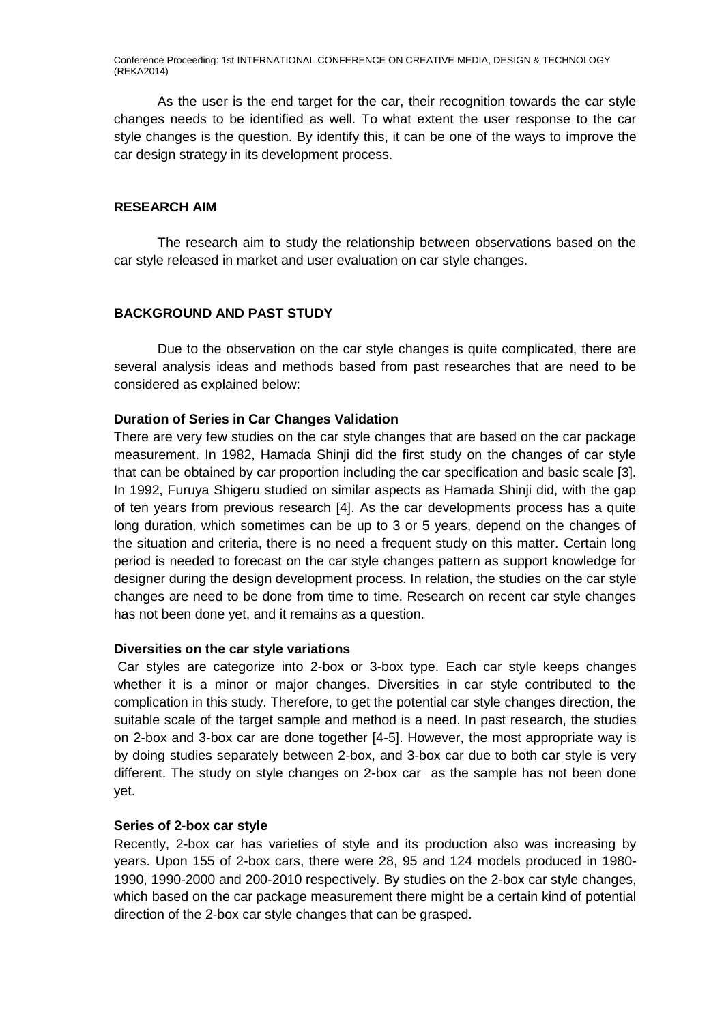As the user is the end target for the car, their recognition towards the car style changes needs to be identified as well. To what extent the user response to the car style changes is the question. By identify this, it can be one of the ways to improve the car design strategy in its development process.

### **RESEARCH AIM**

The research aim to study the relationship between observations based on the car style released in market and user evaluation on car style changes.

### **BACKGROUND AND PAST STUDY**

Due to the observation on the car style changes is quite complicated, there are several analysis ideas and methods based from past researches that are need to be considered as explained below:

#### **Duration of Series in Car Changes Validation**

There are very few studies on the car style changes that are based on the car package measurement. In 1982, Hamada Shinji did the first study on the changes of car style that can be obtained by car proportion including the car specification and basic scale [3]. In 1992, Furuya Shigeru studied on similar aspects as Hamada Shinji did, with the gap of ten years from previous research [4]. As the car developments process has a quite long duration, which sometimes can be up to 3 or 5 years, depend on the changes of the situation and criteria, there is no need a frequent study on this matter. Certain long period is needed to forecast on the car style changes pattern as support knowledge for designer during the design development process. In relation, the studies on the car style changes are need to be done from time to time. Research on recent car style changes has not been done yet, and it remains as a question.

### **Diversities on the car style variations**

Car styles are categorize into 2-box or 3-box type. Each car style keeps changes whether it is a minor or major changes. Diversities in car style contributed to the complication in this study. Therefore, to get the potential car style changes direction, the suitable scale of the target sample and method is a need. In past research, the studies on 2-box and 3-box car are done together [4-5]. However, the most appropriate way is by doing studies separately between 2-box, and 3-box car due to both car style is very different. The study on style changes on 2-box car as the sample has not been done yet.

#### **Series of 2-box car style**

Recently, 2-box car has varieties of style and its production also was increasing by years. Upon 155 of 2-box cars, there were 28, 95 and 124 models produced in 1980- 1990, 1990-2000 and 200-2010 respectively. By studies on the 2-box car style changes, which based on the car package measurement there might be a certain kind of potential direction of the 2-box car style changes that can be grasped.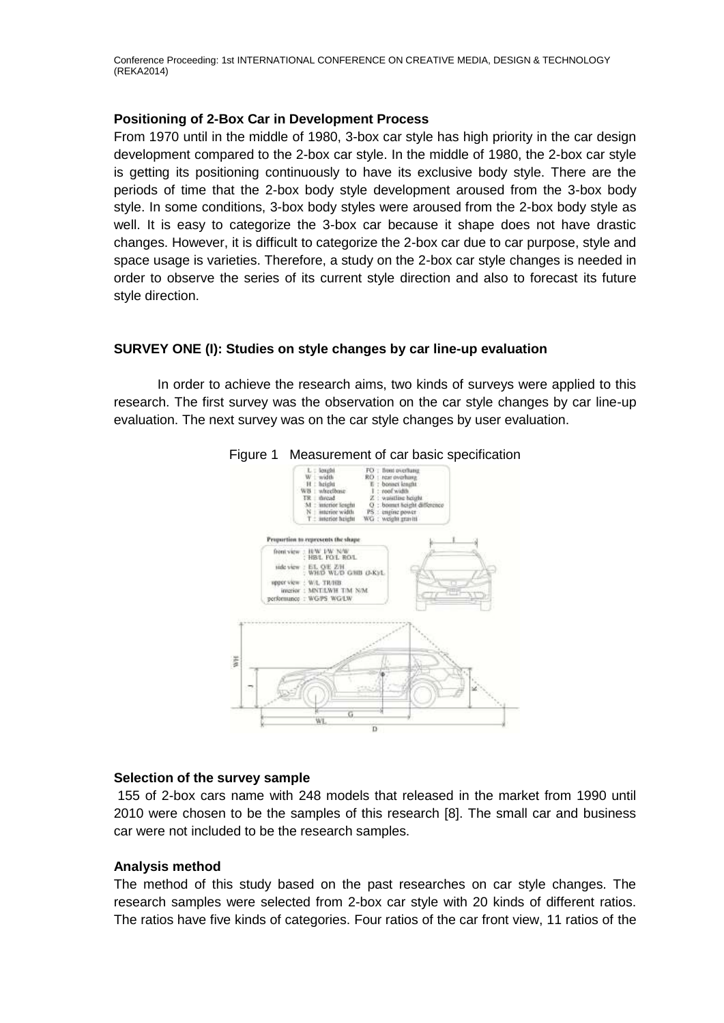### **Positioning of 2-Box Car in Development Process**

From 1970 until in the middle of 1980, 3-box car style has high priority in the car design development compared to the 2-box car style. In the middle of 1980, the 2-box car style is getting its positioning continuously to have its exclusive body style. There are the periods of time that the 2-box body style development aroused from the 3-box body style. In some conditions, 3-box body styles were aroused from the 2-box body style as well. It is easy to categorize the 3-box car because it shape does not have drastic changes. However, it is difficult to categorize the 2-box car due to car purpose, style and space usage is varieties. Therefore, a study on the 2-box car style changes is needed in order to observe the series of its current style direction and also to forecast its future style direction.

### **SURVEY ONE (I): Studies on style changes by car line-up evaluation**

In order to achieve the research aims, two kinds of surveys were applied to this research. The first survey was the observation on the car style changes by car line-up evaluation. The next survey was on the car style changes by user evaluation.





### **Selection of the survey sample**

155 of 2-box cars name with 248 models that released in the market from 1990 until 2010 were chosen to be the samples of this research [8]. The small car and business car were not included to be the research samples.

### **Analysis method**

The method of this study based on the past researches on car style changes. The research samples were selected from 2-box car style with 20 kinds of different ratios. The ratios have five kinds of categories. Four ratios of the car front view, 11 ratios of the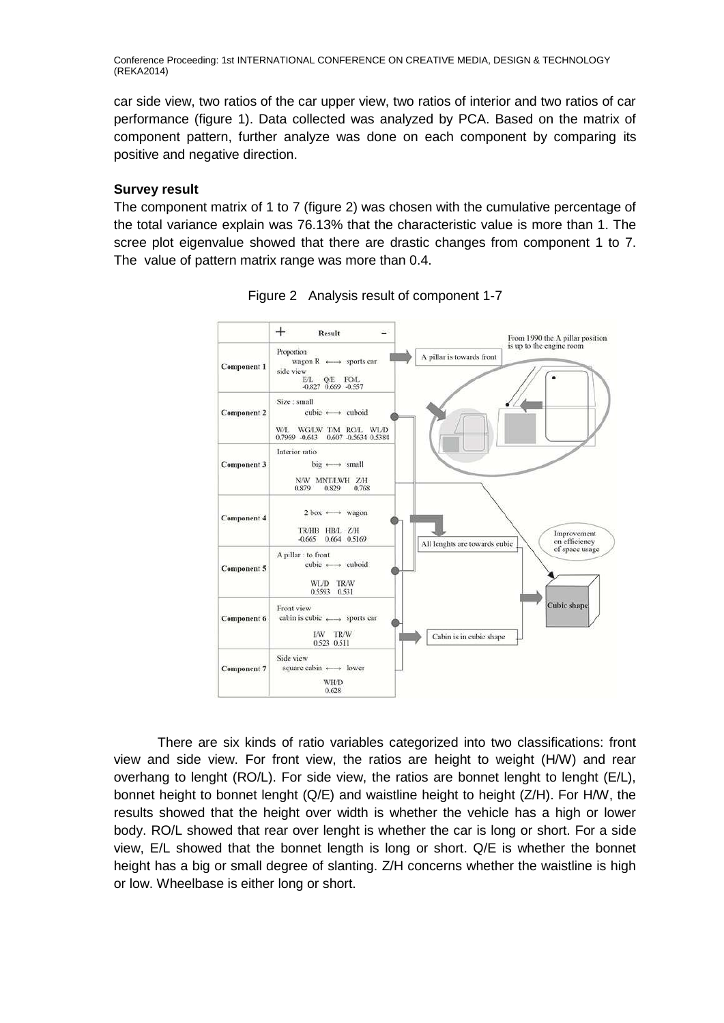car side view, two ratios of the car upper view, two ratios of interior and two ratios of car performance (figure 1). Data collected was analyzed by PCA. Based on the matrix of component pattern, further analyze was done on each component by comparing its positive and negative direction.

### **Survey result**

The component matrix of 1 to 7 (figure 2) was chosen with the cumulative percentage of the total variance explain was 76.13% that the characteristic value is more than 1. The scree plot eigenvalue showed that there are drastic changes from component 1 to 7. The value of pattern matrix range was more than 0.4.



Figure 2 Analysis result of component 1-7

There are six kinds of ratio variables categorized into two classifications: front view and side view. For front view, the ratios are height to weight (H/W) and rear overhang to lenght (RO/L). For side view, the ratios are bonnet lenght to lenght (E/L), bonnet height to bonnet lenght (Q/E) and waistline height to height (Z/H). For H/W, the results showed that the height over width is whether the vehicle has a high or lower body. RO/L showed that rear over lenght is whether the car is long or short. For a side view, E/L showed that the bonnet length is long or short. Q/E is whether the bonnet height has a big or small degree of slanting. Z/H concerns whether the waistline is high or low. Wheelbase is either long or short.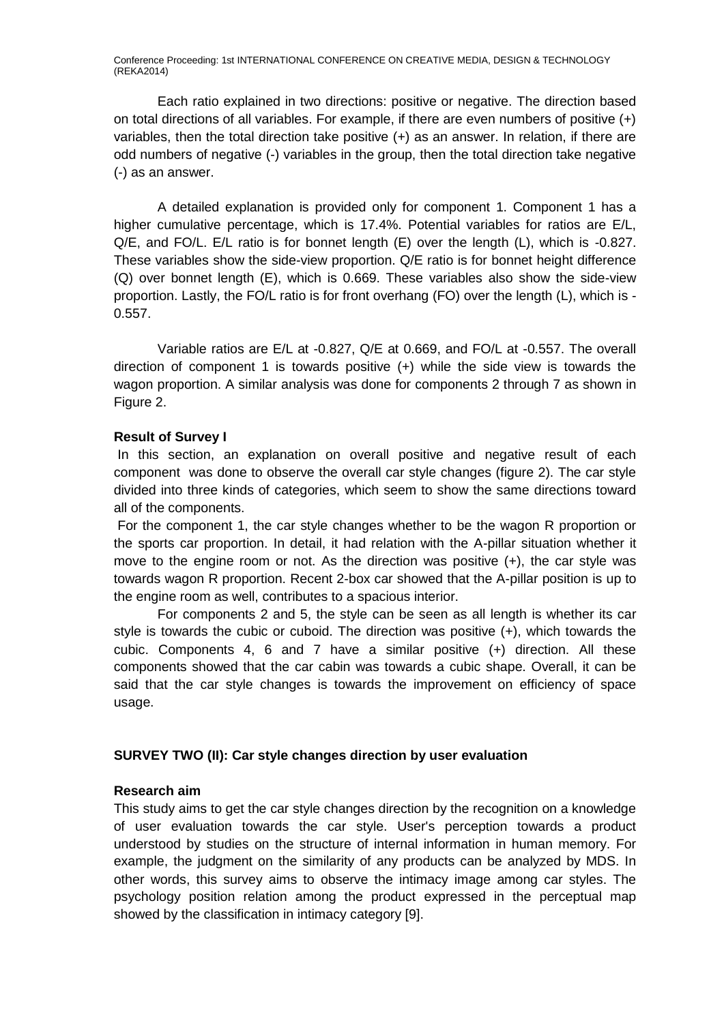Each ratio explained in two directions: positive or negative. The direction based on total directions of all variables. For example, if there are even numbers of positive (+) variables, then the total direction take positive (+) as an answer. In relation, if there are odd numbers of negative (-) variables in the group, then the total direction take negative (-) as an answer.

A detailed explanation is provided only for component 1. Component 1 has a higher cumulative percentage, which is 17.4%. Potential variables for ratios are E/L, Q/E, and FO/L. E/L ratio is for bonnet length (E) over the length (L), which is -0.827. These variables show the side-view proportion. Q/E ratio is for bonnet height difference (Q) over bonnet length (E), which is 0.669. These variables also show the side-view proportion. Lastly, the FO/L ratio is for front overhang (FO) over the length (L), which is - 0.557.

Variable ratios are E/L at -0.827, Q/E at 0.669, and FO/L at -0.557. The overall direction of component 1 is towards positive (+) while the side view is towards the wagon proportion. A similar analysis was done for components 2 through 7 as shown in Figure 2.

### **Result of Survey I**

In this section, an explanation on overall positive and negative result of each component was done to observe the overall car style changes (figure 2). The car style divided into three kinds of categories, which seem to show the same directions toward all of the components.

For the component 1, the car style changes whether to be the wagon R proportion or the sports car proportion. In detail, it had relation with the A-pillar situation whether it move to the engine room or not. As the direction was positive (+), the car style was towards wagon R proportion. Recent 2-box car showed that the A-pillar position is up to the engine room as well, contributes to a spacious interior.

For components 2 and 5, the style can be seen as all length is whether its car style is towards the cubic or cuboid. The direction was positive (+), which towards the cubic. Components 4, 6 and 7 have a similar positive (+) direction. All these components showed that the car cabin was towards a cubic shape. Overall, it can be said that the car style changes is towards the improvement on efficiency of space usage.

### **SURVEY TWO (II): Car style changes direction by user evaluation**

### **Research aim**

This study aims to get the car style changes direction by the recognition on a knowledge of user evaluation towards the car style. User's perception towards a product understood by studies on the structure of internal information in human memory. For example, the judgment on the similarity of any products can be analyzed by MDS. In other words, this survey aims to observe the intimacy image among car styles. The psychology position relation among the product expressed in the perceptual map showed by the classification in intimacy category [9].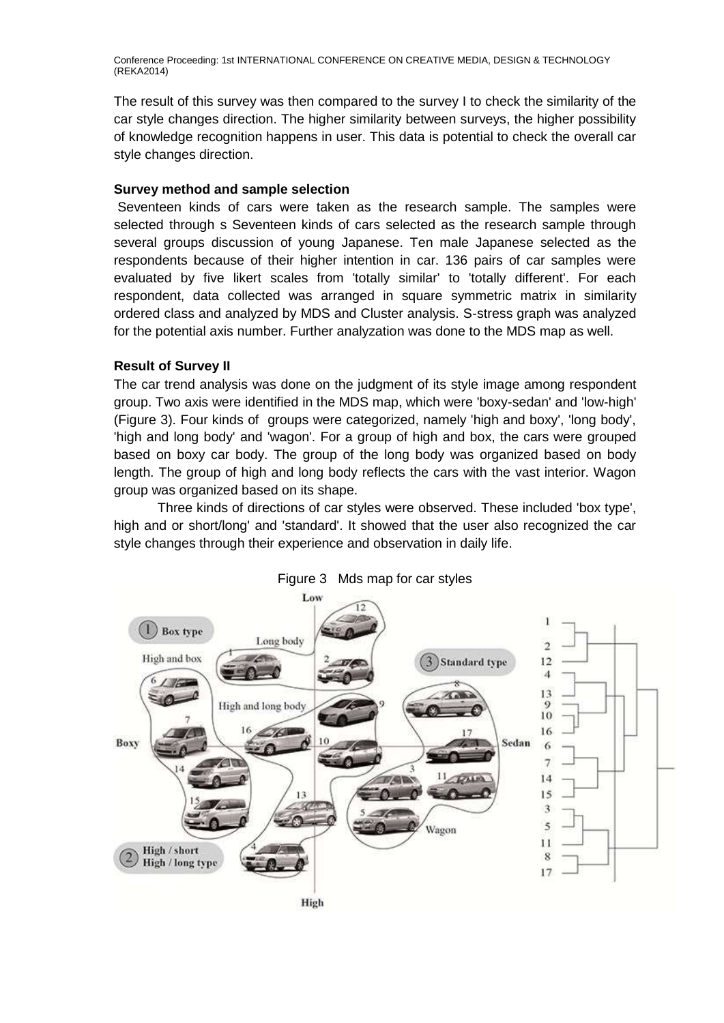The result of this survey was then compared to the survey I to check the similarity of the car style changes direction. The higher similarity between surveys, the higher possibility of knowledge recognition happens in user. This data is potential to check the overall car style changes direction.

### **Survey method and sample selection**

Seventeen kinds of cars were taken as the research sample. The samples were selected through s Seventeen kinds of cars selected as the research sample through several groups discussion of young Japanese. Ten male Japanese selected as the respondents because of their higher intention in car. 136 pairs of car samples were evaluated by five likert scales from 'totally similar' to 'totally different'. For each respondent, data collected was arranged in square symmetric matrix in similarity ordered class and analyzed by MDS and Cluster analysis. S-stress graph was analyzed for the potential axis number. Further analyzation was done to the MDS map as well.

### **Result of Survey II**

The car trend analysis was done on the judgment of its style image among respondent group. Two axis were identified in the MDS map, which were 'boxy-sedan' and 'low-high' (Figure 3). Four kinds of groups were categorized, namely 'high and boxy', 'long body', 'high and long body' and 'wagon'. For a group of high and box, the cars were grouped based on boxy car body. The group of the long body was organized based on body length. The group of high and long body reflects the cars with the vast interior. Wagon group was organized based on its shape.

Three kinds of directions of car styles were observed. These included 'box type', high and or short/long' and 'standard'. It showed that the user also recognized the car style changes through their experience and observation in daily life.



Figure 3 Mds map for car styles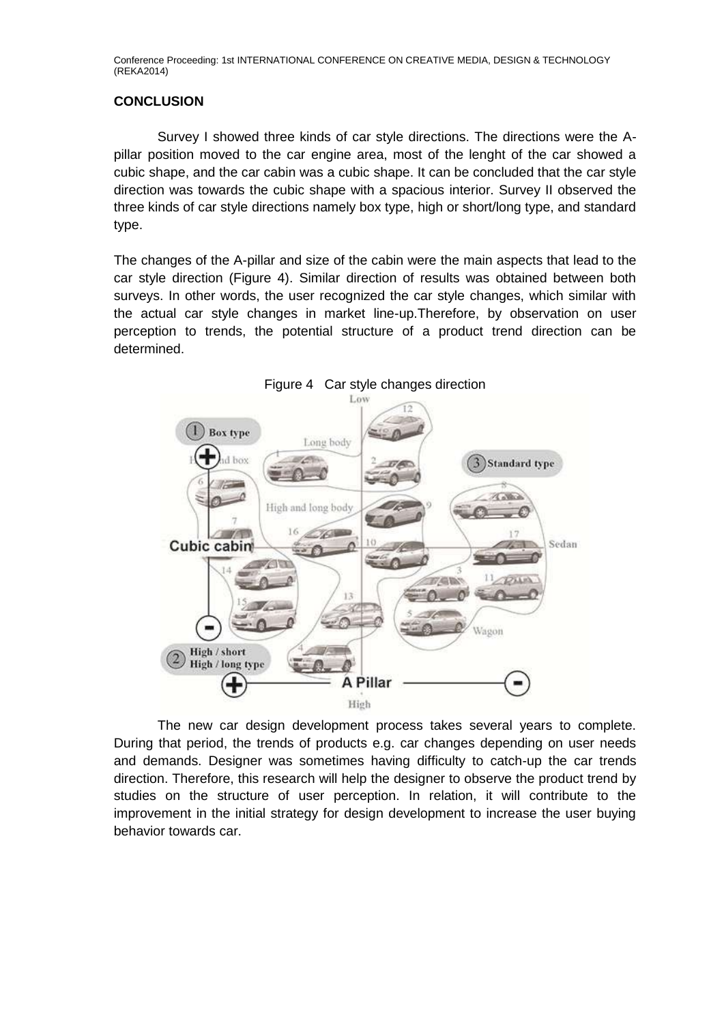### **CONCLUSION**

Survey I showed three kinds of car style directions. The directions were the Apillar position moved to the car engine area, most of the lenght of the car showed a cubic shape, and the car cabin was a cubic shape. It can be concluded that the car style direction was towards the cubic shape with a spacious interior. Survey II observed the three kinds of car style directions namely box type, high or short/long type, and standard type.

The changes of the A-pillar and size of the cabin were the main aspects that lead to the car style direction (Figure 4). Similar direction of results was obtained between both surveys. In other words, the user recognized the car style changes, which similar with the actual car style changes in market line-up.Therefore, by observation on user perception to trends, the potential structure of a product trend direction can be determined.



The new car design development process takes several years to complete. During that period, the trends of products e.g. car changes depending on user needs and demands. Designer was sometimes having difficulty to catch-up the car trends direction. Therefore, this research will help the designer to observe the product trend by studies on the structure of user perception. In relation, it will contribute to the improvement in the initial strategy for design development to increase the user buying behavior towards car.